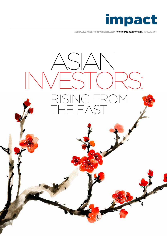

**ACTIONABLE INSIGHT FOR BUSINESS LEADERS / CORPORATE DEVELOPMENT / JANUARY 2016**

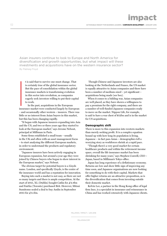Asian insurers continue to look to Europe and North America for diversification and growth opportunities, but what impact will these investments and acquisitions have on the western insurance sector? By Pádraig Floyd

t is said that to survive one must change. That is certainly true of the global insurance sector. But the pace of consolidation within the global insurance markets is transforming evolution in this sector into revolution, as companies eagerly seek investors willing to put their capital to work.

In the past, acquisitions in the European insurance market were conducted largely by European – and occasionally other western – insurers. There was little or no interest from Asian buyers in this market, but this has been changing rapidly. **I**<br>Insurance

"It began with Japanese insurers expanding into Asia and the US, and two or three years ago they started to look at the European market," says Jerome Nebout, principal at Milliman in Paris.

Some firms established a small team – usually in the UK and often with an asset management focus – to start analysing the different European markets, in order to understand the products and regulatory environment.

"Japanese insurers have been actively engaging in European expansion, but around a year ago they were joined by Chinese buyers who began to show interest in the European market," says Nebout.

The obvious target for potential buyers is a Lloyds name. London, and specifically Lloyds, is the centre of the insurance world and has a reputation for innovation.

Buying into such a market is not easy, as there are not so many targets and there is ample competition. At the start of 2015, XL (Dublin) bought Catlin for £2.8bn and Fairfax (Toronto) purchased Brit. However, Mitsui Sumitomo sealed a deal to buy Amlin in September 2015 for £3.5bn.

 Though Chinese and Japanese investors are also looking at the Netherlands and France, the US market is equally attractive to Asian companies and there have been a number of medium-sized – yet significant – acquisitions being made (see box).

When it comes to a bidding war, Asian companies are well placed, as they have shown a willingness to pay a premium for the right company, and there are a number of well-funded Japanese companies ready to move on the market. Nippon Life, for example, is said to have a war chest of \$12bn and is in the market for US acquisitions.

#### **Demographic shift**

There is more to this expansion into western markets than merely seeking profit. It is a complex equation bound up with how long its population is living. Japanese – in fact pan-Asian – demographics tell a worrying story as workforces shrink at a rapid pace.

"Though there's a very good market for certain healthcare products and within the retirement income space, overall the life insurance market has been shrinking for many years," says Stephen Conwill, CEO – Japan, based in Milliman's Tokyo office.

Japan has long experience of a deflationary economy. Returns are low and show little sign of improving any time soon, and Japanese organisations are now looking for something to do with their capital. Markets that offer higher returns are an attractive proposition, as is the diversification that comes from investing outside their domestic market.

Kelvin Lee, a partner in the Hong Kong office of legal firm Ince, is a specialist in insurance and reinsurance in China and has worked extensively with Japanese clients.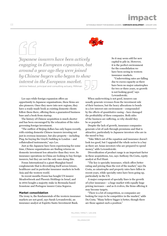03 **ACTIONABLE INSIGHT FOR BUSINESS LEADERS / CORPORATE DEVELOPMENT / JANUARY 2016**



*Japanese insurers have been actively engaging in European expansion, but around a year ago they were joined by Chinese buyers who began to show interest in the European market.*  Jérôme Nebout, principal and consulting actuary, Milliman

Lee says while foreign expansion offers an opportunity to Japanese organisations, these firms are also pioneers. Once they move into new regions, they have a ready-made book as existing domestic clients follow them there, offering them a guaranteed business base and a book from startup.

The history of Chinese acquisition is much shorter and has been encouraged by the relaxation of the rules governing foreign investment.

"The outflow of Beijing dollars has only begun recently, with existing domestic Chinese insurers investing not just in overseas insurance, but also property – including Ping An buying the Lloyd's building in London – and collateralised instruments," says Lee.

Just as the Japanese have been experiencing for some time, Chinese organisations are finding returns on domestic investment less attractive than they were. So insurance operations in China are looking to buy foreign insurers, but they are not the only ones doing this.

Fosun International is a giant Shanghai-based conglomerate that is diversifying itself across leisure, healthcare and in particular insurance markets in both Asia and the western world.

In recent months Fosun has bought US insurer Meadowbrook and Phoenix Holdings in Israel, and in 2014 bought a majority stake in Bermuda-based Ironstone and Portugese insurer Caixa Seguros.

#### **Market consolidation**

The irony is, the fundamentals of the western insurance markets are not good, says Sarah Lewandowski, an insurance analyst at Espirito Santo Investment Bank.

So it may seem odd for new capital to pile in. However, it is the perfect environment for the consolidation we have been seeing in western insurance markets.

"Underwriting rates are falling due to excess capacity as there have been no major catastrophes for two or three years, so growth is not looking good," says Lewandowski.

When underwriting is not good, insurers can usually generate revenues from the investment side of their business, but the heavy allocations to bonds in a low interest rate environment – compounded by the effects of quantitative easing – have damaged the profitability of these companies. Both sides of the business are suffering, so why should they be so popular?

Despite the lack of growth, insurance companies generate a lot of cash through premiums and that is attractive, particularly to Japanese investors who are in the mood to buy.

"Take M&A out of the equation and insurance doesn't look too good, but I upgraded the whole sector to a buy as there are Asian investors who are prepared to spend money," adds Lewandowski.

Diversification of product range is an important factor in these acquisitions, too, says Anthony Da Costa, equity analyst at Peel Hunt.

"The key is specialty insurance, which offers better rating and pricing than the rest of the market," says Da Costa, as catastrophe and property rates have fallen in recent years, while specialty rates have been going up, particularly in the US.

A major component of specialty lines is the growth of cyber insurance – a huge market with equally huge pricing increases – and as it evolves, the firms offering it may become targets.

"There is a lot of competition, so companies are looking for ways to be competitive in the market," adds Da Costa. "Many believe bigger is better, though there are those against such a position."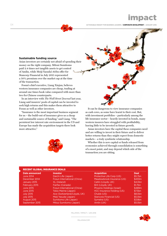impact

**ACTIONABLE INSIGHT FOR BUSINESS LEADERS / CORPORATE DEVELOPMENT / JANUARY 2016**

#### **Sustainable funding source**

Asian investors are certainly not afraid of spending their money on the right company. Mitsui Sumitomo paid 2.4 times net tangible assets to get control of Amlin, while Meiji Yasuda's \$5bn offer for Stancorp Financial in July 2015 represented a 50% premium over the market cap at the time of the transaction.

Fosun's chief executive, Liang Xinjun, believes western insurance companies are cheap, trading at around one times book value compared with more than two for Chinese counterparts.

In an interview with *The Wall Street Journal* last year, Liang said insurers' pools of capital can be invested to seek high returns and this makes them attractive to Fosun as well as other investors.

"Insurance is the most important business segment for us – the build-out of insurance gives us a cheap and sustainable source of funding," said Liang. "The persistent low interest rate environment in the US and Europe has made the acquisition targets there look more attractive."



It can be dangerous to view insurance companies as cash cows, as some have learnt to their cost. But, with investment portfolios – particularly among the life insurance sector – heavily invested in bonds, many western insurers have struggled with profitability, leaving little to be invested in future growth.

Asian investors have the capital these companies need and are willing to invest in their future and to deliver better returns than they might expect from domestic markets – a truly symbiotic relationship.

Whether this is new capital or funds released from economies achieved through consolidation is something of a moot point, and may depend which side of the transaction you are sitting.

#### RECENT GLOBAL INSURANCE DEALS

**Date announced Investor Acquisition Deal** January 2015 XL (Ireland) February 2015 Fairfax (Canada)

June 2014 **Daichi Life (Japan)** December 2014 Fosun International (China) June 2015 **Fosun International (China)** Fosun International (China) June 2015 **Tokio Marine (Japan)** July 2015 **Ace (Switzerland/Lloyds, UK)** Ace (Switzerland/Lloyds, UK) July 2015 Meiji Yasuda (Japan) August 2015 Sumitomo Life (Japan) September 2015 Mitsui Sumitomo (Japan)

| Protective Life Corp (US)         | \$5.7bn             |
|-----------------------------------|---------------------|
| Meadowbrook Insurance (US)        | \$433m              |
| Catlin (Lloyds, UK)               | \$4.0bn             |
| Brit (Lloyds, UK)                 | \$1.7 <sub>bn</sub> |
| Phoenix Holdings (Israel)         | \$489m              |
| <b>HCC Insurance Holding (US)</b> | \$7.5bn             |
| Chubb (US)                        | \$8.0bn             |
| <b>Stancorp Financial (US)</b>    | \$5.0bn             |
| Symetra (US)                      | \$3.8bn             |
| Amlin (UK)                        | \$5.0bn             |

MILLIMAN / IMPACT / JAN 2016



04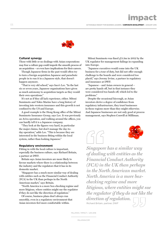

#### **Cultural synergy**

Those with little or no dealings with Asian corporations may fear a culture gap could impede the smooth process of an acquisition – or even have implications for their careers.

Though Japanese firms in the past would often try to turn a foreign acquisition Japanese and parachute people in to run it in a Japanese style, that doesn't happen anymore.

"That is very old school," says Ince's Lee. "In the last six or seven years, Japanese organisations have given as much autonomy to acquisition targets as they would their own operations."

It's not as if they all lack experience, either. Mitsui Sumimoto and Tokio Marine have a long history of investing into western insurance and this growth is not confined to the US and Europe.

A good example is the Hong Kong office of the Mitsui Sumimoto Insurance Group, says Lee. It was previously an Aviva operation, and walking around the offices, you can hardly tell it is a Japanese company.

"They look at the figures very hard, in particular the major claims, but don't manage the day-today operation," adds Lee. "This is because they are interested in the business fitting within the local system, rather than looking Japanese."

#### **Regulatory environment**

Fitting in with the local culture is important, especially the business culture, says Richard Britain, a partner at DWF.

Britain says Asian investors are more likely to favour markets where there is a relationship between the industry and the regulators that it has in its domestic market.

"Singapore has a much more similar way of dealing with entities such as the Financial Conduct Authority (FCA) in the UK than perhaps in the North American market," says Britain.

"North America is a more box-checking regime and more litigious, where entities might sue the regulator if they do not like the direction of regulation."

Of course, business plans don't always run smoothly, even in a regulatory environment that Asian investors feel more comfortable within.

Mitsui Sumimoto was fined £3.3m in 2012 by the UK regulator for management failings in expanding into Europe.

"Japanese executives would come into the UK business for a tour of duty, but did not offer enough challenge to the boards and were considered too placid," says Jeremy Irvine, a partner in regulatory and insurance at DWF.

"Japanese – and Asian owners in general – are pretty hands off, but in that instance they were considered too hands off, which led to the problems."

Despite the occasional hiccough, as Asian investors derive a degree of confidence from regulatory infrastructure, they trust businesses in those regions more than they might otherwise. And Japanese businesses are not only good at process management, says Stephen Conwill at Milliman.





*Singapore has a similar way of dealing with entities as the Financial Conduct Authority (FCA) in the UK than perhaps in the North American market. North America is a more boxchecking regime and more litigious, where entities might sue the regulator if they do not like the direction of regulation.*  Richard Britain, partner, DWF